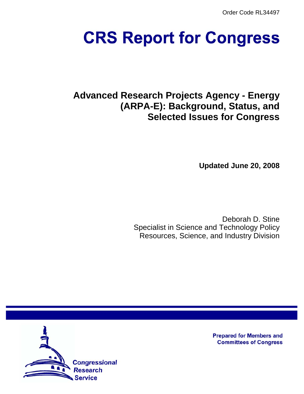Order Code RL34497

# **CRS Report for Congress**

# **Advanced Research Projects Agency - Energy (ARPA-E): Background, Status, and Selected Issues for Congress**

**Updated June 20, 2008**

Deborah D. Stine Specialist in Science and Technology Policy Resources, Science, and Industry Division



**Prepared for Members and Committees of Congress**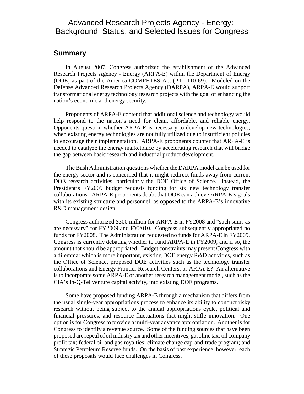## Advanced Research Projects Agency - Energy: Background, Status, and Selected Issues for Congress

### **Summary**

In August 2007, Congress authorized the establishment of the Advanced Research Projects Agency - Energy (ARPA-E) within the Department of Energy (DOE) as part of the America COMPETES Act (P.L. 110-69). Modeled on the Defense Advanced Research Projects Agency (DARPA), ARPA-E would support transformational energy technology research projects with the goal of enhancing the nation's economic and energy security.

Proponents of ARPA-E contend that additional science and technology would help respond to the nation's need for clean, affordable, and reliable energy. Opponents question whether ARPA-E is necessary to develop new technologies, when existing energy technologies are not fully utilized due to insufficient policies to encourage their implementation. ARPA-E proponents counter that ARPA-E is needed to catalyze the energy marketplace by accelerating research that will bridge the gap between basic research and industrial product development.

The Bush Administration questions whether the DARPA model can be used for the energy sector and is concerned that it might redirect funds away from current DOE research activities, particularly the DOE Office of Science. Instead, the President's FY2009 budget requests funding for six new technology transfer collaborations. ARPA-E proponents doubt that DOE can achieve ARPA-E's goals with its existing structure and personnel, as opposed to the ARPA-E's innovative R&D management design.

Congress authorized \$300 million for ARPA-E in FY2008 and "such sums as are necessary" for FY2009 and FY2010. Congress subsequently appropriated no funds for FY2008. The Administration requested no funds for ARPA-E in FY2009. Congress is currently debating whether to fund ARPA-E in FY2009, and if so, the amount that should be appropriated. Budget constraints may present Congress with a dilemma: which is more important, existing DOE energy R&D activities, such as the Office of Science, proposed DOE activities such as the technology transfer collaborations and Energy Frontier Research Centers, or ARPA-E? An alternative is to incorporate some ARPA-E or another research management model, such as the CIA's In-Q-Tel venture capital activity, into existing DOE programs.

Some have proposed funding ARPA-E through a mechanism that differs from the usual single-year appropriations process to enhance its ability to conduct risky research without being subject to the annual appropriations cycle, political and financial pressures, and resource fluctuations that might stifle innovation. One option is for Congress to provide a multi-year advance appropriation. Another is for Congress to identify a revenue source. Some of the funding sources that have been proposed are repeal of oil industry tax and other incentives; gasoline tax; oil company profit tax; federal oil and gas royalties; climate change cap-and-trade program; and Strategic Petroleum Reserve funds. On the basis of past experience, however, each of these proposals would face challenges in Congress.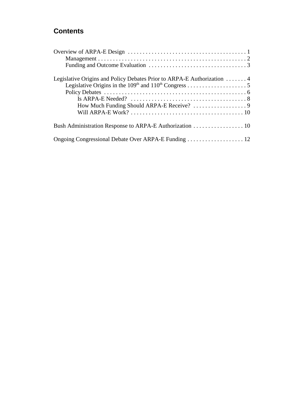## **Contents**

| Legislative Origins and Policy Debates Prior to ARPA-E Authorization 4<br>Is ARPA-E Needed? $\dots\dots\dots\dots\dots\dots\dots\dots\dots\dots\dots\dots 8$ |
|--------------------------------------------------------------------------------------------------------------------------------------------------------------|
|                                                                                                                                                              |
|                                                                                                                                                              |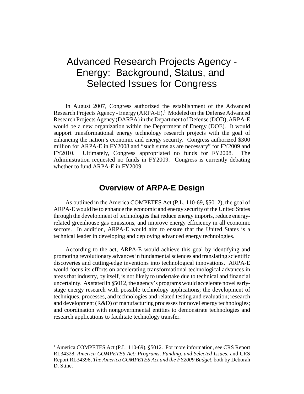## Advanced Research Projects Agency - Energy: Background, Status, and Selected Issues for Congress

In August 2007, Congress authorized the establishment of the Advanced Research Projects Agency - Energy (ARPA-E).<sup>1</sup> Modeled on the Defense Advanced Research Projects Agency (DARPA) in the Department of Defense (DOD), ARPA-E would be a new organization within the Department of Energy (DOE). It would support transformational energy technology research projects with the goal of enhancing the nation's economic and energy security. Congress authorized \$300 million for ARPA-E in FY2008 and "such sums as are necessary" for FY2009 and FY2010. Ultimately, Congress appropriated no funds for FY2008. The Administration requested no funds in FY2009. Congress is currently debating whether to fund ARPA-E in FY2009.

## **Overview of ARPA-E Design**

As outlined in the America COMPETES Act (P.L. 110-69, §5012), the goal of ARPA-E would be to enhance the economic and energy security of the United States through the development of technologies that reduce energy imports, reduce energyrelated greenhouse gas emissions, and improve energy efficiency in all economic sectors. In addition, ARPA-E would aim to ensure that the United States is a technical leader in developing and deploying advanced energy technologies.

According to the act, ARPA-E would achieve this goal by identifying and promoting revolutionary advances in fundamental sciences and translating scientific discoveries and cutting-edge inventions into technological innovations. ARPA-E would focus its efforts on accelerating transformational technological advances in areas that industry, by itself, is not likely to undertake due to technical and financial uncertainty. As stated in §5012, the agency's programs would accelerate novel earlystage energy research with possible technology applications; the development of techniques, processes, and technologies and related testing and evaluation; research and development (R&D) of manufacturing processes for novel energy technologies; and coordination with nongovernmental entities to demonstrate technologies and research applications to facilitate technology transfer.

<sup>&</sup>lt;sup>1</sup> America COMPETES Act (P.L. 110-69), §5012. For more information, see CRS Report RL34328, *America COMPETES Act: Programs, Funding, and Selected Issues*, and CRS Report RL34396, *The America COMPETES Act and the FY2009 Budget*, both by Deborah D. Stine.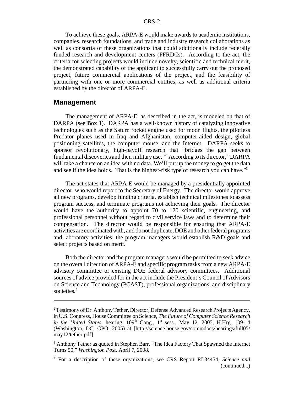To achieve these goals, ARPA-E would make awards to academic institutions, companies, research foundations, and trade and industry research collaborations as well as consortia of these organizations that could additionally include federally funded research and development centers (FFRDCs). According to the act, the criteria for selecting projects would include novelty, scientific and technical merit, the demonstrated capability of the applicant to successfully carry out the proposed project, future commercial applications of the project, and the feasibility of partnering with one or more commercial entities, as well as additional criteria established by the director of ARPA-E.

#### **Management**

The management of ARPA-E, as described in the act, is modeled on that of DARPA (see **Box 1**). DARPA has a well-known history of catalyzing innovative technologies such as the Saturn rocket engine used for moon flights, the pilotless Predator planes used in Iraq and Afghanistan, computer-aided design, global positioning satellites, the computer mouse, and the Internet. DARPA seeks to sponsor revolutionary, high-payoff research that "bridges the gap between fundamental discoveries and their military use."<sup>2</sup> According to its director, "DARPA will take a chance on an idea with no data. We'll put up the money to go get the data and see if the idea holds. That is the highest-risk type of research you can have."3

The act states that ARPA-E would be managed by a presidentially appointed director, who would report to the Secretary of Energy. The director would approve all new programs, develop funding criteria, establish technical milestones to assess program success, and terminate programs not achieving their goals. The director would have the authority to appoint 70 to 120 scientific, engineering, and professional personnel without regard to civil service laws and to determine their compensation. The director would be responsible for ensuring that ARPA-E activities are coordinated with, and do not duplicate, DOE and other federal programs and laboratory activities; the program managers would establish R&D goals and select projects based on merit.

Both the director and the program managers would be permitted to seek advice on the overall direction of ARPA-E and specific program tasks from a new ARPA-E advisory committee or existing DOE federal advisory committees. Additional sources of advice provided for in the act include the President's Council of Advisors on Science and Technology (PCAST), professional organizations, and disciplinary societies.<sup>4</sup>

<sup>&</sup>lt;sup>2</sup> Testimony of Dr. Anthony Tether, Director, Defense Advanced Research Projects Agency, in U.S. Congress, House Committee on Science, *The Future of Computer Science Research in the United States*, hearing,  $109<sup>th</sup>$  Cong.,  $1<sup>st</sup>$  sess., May 12, 2005, H.Hrg. 109-14 (Washington, DC: GPO, 2005) at [http://science.house.gov/commdocs/hearings/full05/ may12/tether.pdf].

<sup>&</sup>lt;sup>3</sup> Anthony Tether as quoted in Stephen Barr, "The Idea Factory That Spawned the Internet Turns 50," *Washington Post*, April 7, 2008.

<sup>4</sup> For a description of these organizations, see CRS Report RL34454, *Science and* (continued...)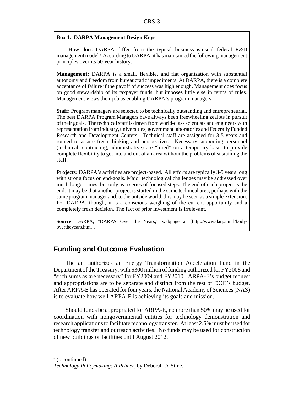#### **Box 1. DARPA Management Design Keys**

How does DARPA differ from the typical business-as-usual federal R&D management model? According to DARPA, it has maintained the following management principles over its 50-year history:

**Management:** DARPA is a small, flexible, and flat organization with substantial autonomy and freedom from bureaucratic impediments. At DARPA, there is a complete acceptance of failure if the payoff of success was high enough. Management does focus on good stewardship of its taxpayer funds, but imposes little else in terms of rules. Management views their job as enabling DARPA's program managers.

**Staff:** Program managers are selected to be technically outstanding and entrepreneurial. The best DARPA Program Managers have always been freewheeling zealots in pursuit of their goals. The technical staff is drawn from world-class scientists and engineers with representation from industry, universities, government laboratories and Federally Funded Research and Development Centers. Technical staff are assigned for 3-5 years and rotated to assure fresh thinking and perspectives. Necessary supporting personnel (technical, contracting, administrative) are "hired" on a temporary basis to provide complete flexibility to get into and out of an area without the problems of sustaining the staff.

**Projects:** DARPA's activities are project-based. All efforts are typically 3-5 years long with strong focus on end-goals. Major technological challenges may be addressed over much longer times, but only as a series of focused steps. The end of each project is the end. It may be that another project is started in the same technical area, perhaps with the same program manager and, to the outside world, this may be seen as a simple extension. For DARPA, though, it is a conscious weighing of the current opportunity and a completely fresh decision. The fact of prior investment is irrelevant.

**Source**: DARPA, "DARPA Over the Years," webpage at [http://www.darpa.mil/body/ overtheyears.html].

#### **Funding and Outcome Evaluation**

The act authorizes an Energy Transformation Acceleration Fund in the Department of the Treasury, with \$300 million of funding authorized for FY2008 and "such sums as are necessary" for FY2009 and FY2010. ARPA-E's budget request and appropriations are to be separate and distinct from the rest of DOE's budget. After ARPA-E has operated for four years, the National Academy of Sciences (NAS) is to evaluate how well ARPA-E is achieving its goals and mission.

Should funds be appropriated for ARPA-E, no more than 50% may be used for coordination with nongovernmental entities for technology demonstration and research applications to facilitate technology transfer. At least 2.5% must be used for technology transfer and outreach activities. No funds may be used for construction of new buildings or facilities until August 2012.

<sup>4</sup> (...continued)

*Technology Policymaking: A Primer*, by Deborah D. Stine.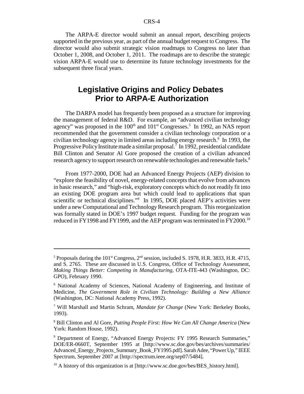The ARPA-E director would submit an annual report, describing projects supported in the previous year, as part of the annual budget request to Congress. The director would also submit strategic vision roadmaps to Congress no later than October 1, 2008, and October 1, 2011. The roadmaps are to describe the strategic vision ARPA-E would use to determine its future technology investments for the subsequent three fiscal years.

## **Legislative Origins and Policy Debates Prior to ARPA-E Authorization**

The DARPA model has frequently been proposed as a structure for improving the management of federal R&D. For example, an "advanced civilian technology agency" was proposed in the  $100<sup>th</sup>$  and  $101<sup>st</sup>$  Congresses.<sup>5</sup> In 1992, an NAS report recommended that the government consider a civilian technology corporation or a civilian technology agency in limited areas including energy research.<sup>6</sup> In 1993, the Progressive Policy Institute made a similar proposal.<sup>7</sup> In 1992, presidential candidate Bill Clinton and Senator Al Gore proposed the creation of a civilian advanced research agency to support research on renewable technologies and renewable fuels.<sup>8</sup>

From 1977-2000, DOE had an Advanced Energy Projects (AEP) division to "explore the feasibility of novel, energy-related concepts that evolve from advances in basic research," and "high-risk, exploratory concepts which do not readily fit into an existing DOE program area but which could lead to applications that span scientific or technical disciplines."<sup>9</sup> In 1995, DOE placed AEP's activities were under a new Computational and Technology Research program. This reorganization was formally stated in DOE's 1997 budget request. Funding for the program was reduced in FY1998 and FY1999, and the AEP program was terminated in FY2000.<sup>10</sup>

<sup>&</sup>lt;sup>5</sup> Proposals during the 101<sup>st</sup> Congress,  $2<sup>nd</sup>$  session, included S. 1978, H.R. 3833, H.R. 4715, and S. 2765. These are discussed in U.S. Congress, Office of Technology Assessment, *Making Things Better: Competing in Manufacturing*, OTA-ITE-443 (Washington, DC: GPO), February 1990.

<sup>6</sup> National Academy of Sciences, National Academy of Engineering, and Institute of Medicine, *The Government Role in Civilian Technology: Building a New Alliance* (Washington, DC: National Academy Press, 1992).

<sup>7</sup> Will Marshall and Martin Schram, *Mandate for Change* (New York: Berkeley Books, 1993).

<sup>8</sup> Bill Clinton and Al Gore, *Putting People First: How We Can All Change America* (New York: Random House, 1992).

<sup>&</sup>lt;sup>9</sup> Department of Energy, "Advanced Energy Projects: FY 1995 Research Summaries," DOE/ER-0660T, September 1995 at [http://www.sc.doe.gov/bes/archives/summaries/ Advanced\_Energy\_Projects\_Summary\_Book\_FY1995.pdf]. Sarah Adee, "Power Up," IEEE Spectrum, September 2007 at [http://spectrum.ieee.org/sep07/5484].

<sup>&</sup>lt;sup>10</sup> A history of this organization is at [http://www.sc.doe.gov/bes/BES\_history.html].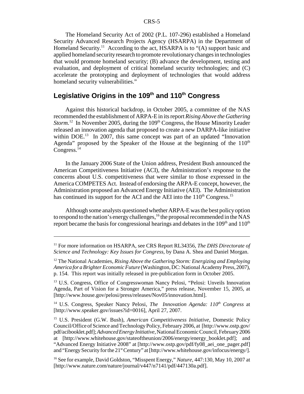The Homeland Security Act of 2002 (P.L. 107-296) established a Homeland Security Advanced Research Projects Agency (HSARPA) in the Department of Homeland Security.<sup>11</sup> According to the act, HSARPA is to " $(A)$  support basic and applied homeland security research to promote revolutionary changes in technologies that would promote homeland security; (B) advance the development, testing and evaluation, and deployment of critical homeland security technologies; and (C) accelerate the prototyping and deployment of technologies that would address homeland security vulnerabilities."

## Legislative Origins in the 109<sup>th</sup> and 110<sup>th</sup> Congress

Against this historical backdrop, in October 2005, a committee of the NAS recommended the establishment of ARPA-E in its report *Rising Above the Gathering Storm.*<sup>12</sup> In November 2005, during the 109<sup>th</sup> Congress, the House Minority Leader released an innovation agenda that proposed to create a new DARPA-like initiative within DOE.<sup>13</sup> In 2007, this same concept was part of an updated "Innovation" Agenda" proposed by the Speaker of the House at the beginning of the  $110<sup>th</sup>$ Congress. $^{14}$ 

In the January 2006 State of the Union address, President Bush announced the American Competitiveness Initiative (ACI), the Administration's response to the concerns about U.S. competitiveness that were similar to those expressed in the America COMPETES Act. Instead of endorsing the ARPA-E concept, however, the Administration proposed an Advanced Energy Initiative (AEI). The Administration has continued its support for the ACI and the AEI into the  $110<sup>th</sup> Congress.<sup>15</sup>$ 

Although some analysts questioned whether ARPA-E was the best policy option to respond to the nation's energy challenges,  $^{16}$  the proposal recommended in the NAS report became the basis for congressional hearings and debates in the  $109<sup>th</sup>$  and  $110<sup>th</sup>$ 

<sup>14</sup> U.S. Congress, Speaker Nancy Pelosi, *The Innovation Agenda:*  $110<sup>th</sup>$  *Congress* at [http://www.speaker.gov/issues?id=0016], April 27, 2007.

<sup>11</sup> For more information on HSARPA, see CRS Report RL34356, *The DHS Directorate of Science and Technology: Key Issues for Congress*, by Dana A. Shea and Daniel Morgan.

<sup>12</sup> The National Academies, *Rising Above the Gathering Storm: Energizing and Employing America for a Brighter Economic Future* (Washington, DC: National Academy Press, 2007), p. 154. This report was initially released in pre-publication form in October 2005.

<sup>&</sup>lt;sup>13</sup> U.S. Congress, Office of Congresswoman Nancy Pelosi, "Pelosi: Unveils Innovation Agenda, Part of Vision for a Stronger America," press release, November 15, 2005, at [http://www.house.gov/pelosi/press/releases/Nov05/innovation.html].

<sup>15</sup> U.S. President (G.W. Bush), *American Competitiveness Initiative*, Domestic Policy Council/Office of Science and Technology Policy, February 2006, at [http://www.ostp.gov/ pdf/acibooklet.pdf]; *Advanced Energy Initiative*, National Economic Council, February 2006 at [http://www.whitehouse.gov/stateoftheunion/2006/energy/energy\_booklet.pdf]; and "Advanced Energy Initiative 2008" at [http://www.ostp.gov/pdf/fy08\_aei\_one\_pager.pdf] and "Energy Security for the 21<sup>st</sup> Century" at [http://www.whitehouse.gov/infocus/energy/].

<sup>16</sup> See for example, David Goldston, "Misspent Energy," *Nature*, 447:130, May 10, 2007 at [http://www.nature.com/nature/journal/v447/n7141/pdf/447130a.pdf].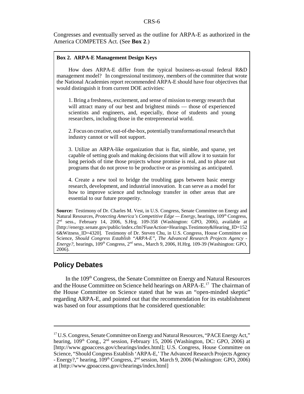Congresses and eventually served as the outline for ARPA-E as authorized in the America COMPETES Act. (See **Box 2**.)

#### **Box 2. ARPA-E Management Design Keys**

How does ARPA-E differ from the typical business-as-usual federal R&D management model? In congressional testimony, members of the committee that wrote the National Academies report recommended ARPA-E should have four objectives that would distinguish it from current DOE activities:

1. Bring a freshness, excitement, and sense of mission to energy research that will attract many of our best and brightest minds — those of experienced scientists and engineers, and, especially, those of students and young researchers, including those in the entrepreneurial world.

2. Focus on creative, out-of-the-box, potentially transformational research that industry cannot or will not support.

3. Utilize an ARPA-like organization that is flat, nimble, and sparse, yet capable of setting goals and making decisions that will allow it to sustain for long periods of time those projects whose promise is real, and to phase out programs that do not prove to be productive or as promising as anticipated.

4. Create a new tool to bridge the troubling gaps between basic energy research, development, and industrial innovation. It can serve as a model for how to improve science and technology transfer in other areas that are essential to our future prosperity.

**Source:** Testimony of Dr. Charles M. Vest, in U.S. Congress, Senate Committee on Energy and Natural Resources, *Protecting America's Competitive Edge* — *Energy*, hearings, 109<sup>th</sup> Congress,  $2<sup>nd</sup>$  sess., February 14, 2006, S.Hrg. 109-358 (Washington: GPO, 2006), available at [http://energy.senate.gov/public/index.cfm?FuseAction=Hearings.Testimony&Hearing\_ID=152 6&Witness\_ID=4320]. Testimony of Dr. Steven Chu, in U.S. Congress, House Committee on Science, *Should Congress Establish "ARPA-E", The Advanced Research Projects Agency - Energy?*, hearings, 109<sup>th</sup> Congress, 2<sup>nd</sup> sess., March 9, 2006, H.Hrg. 109-39 (Washington: GPO, 2006).

#### **Policy Debates**

In the 109<sup>th</sup> Congress, the Senate Committee on Energy and Natural Resources and the House Committee on Science held hearings on ARPA-E.<sup>17</sup> The chairman of the House Committee on Science stated that he was an "open-minded skeptic" regarding ARPA-E, and pointed out that the recommendation for its establishment was based on four assumptions that he considered questionable:

<sup>&</sup>lt;sup>17</sup> U.S. Congress, Senate Committee on Energy and Natural Resources, "PACE Energy Act," hearing,  $109<sup>th</sup>$  Cong.,  $2<sup>nd</sup>$  session, February 15, 2006 (Washington, DC: GPO, 2006) at [http://www.gpoaccess.gov/chearings/index.html]; U.S. Congress, House Committee on Science, "Should Congress Establish 'ARPA-E,' The Advanced Research Projects Agency - Energy?," hearing, 109<sup>th</sup> Congress, 2<sup>nd</sup> session, March 9, 2006 (Washington: GPO, 2006) at [http://www.gpoaccess.gov/chearings/index.html]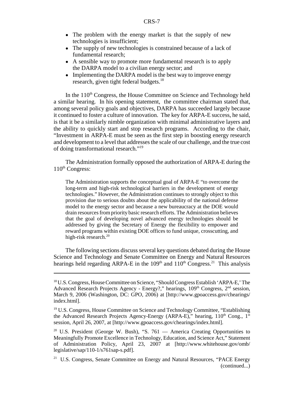- The problem with the energy market is that the supply of new technologies is insufficient;
- The supply of new technologies is constrained because of a lack of fundamental research;
- A sensible way to promote more fundamental research is to apply the DARPA model to a civilian energy sector; and
- Implementing the DARPA model is the best way to improve energy research, given tight federal budgets.<sup>18</sup>

In the  $110<sup>th</sup>$  Congress, the House Committee on Science and Technology held a similar hearing. In his opening statement, the committee chairman stated that, among several policy goals and objectives, DARPA has succeeded largely because it continued to foster a culture of innovation. The key for ARPA-E success, he said, is that it be a similarly nimble organization with minimal administrative layers and the ability to quickly start and stop research programs. According to the chair, "Investment in ARPA-E must be seen as the first step in boosting energy research and development to a level that addresses the scale of our challenge, and the true cost of doing transformational research."19

The Administration formally opposed the authorization of ARPA-E during the  $110^{th}$  Congress:

The Administration supports the conceptual goal of ARPA-E "to overcome the long-term and high-risk technological barriers in the development of energy technologies." However, the Administration continues to strongly object to this provision due to serious doubts about the applicability of the national defense model to the energy sector and because a new bureaucracy at the DOE would drain resources from priority basic research efforts. The Administration believes that the goal of developing novel advanced energy technologies should be addressed by giving the Secretary of Energy the flexibility to empower and reward programs within existing DOE offices to fund unique, crosscutting, and high-risk research.<sup>20</sup>

The following sections discuss several key questions debated during the House Science and Technology and Senate Committee on Energy and Natural Resources hearings held regarding ARPA-E in the  $109<sup>th</sup>$  and  $110<sup>th</sup>$  Congress.<sup>21</sup> This analysis

<sup>18</sup> U.S. Congress, House Committee on Science, "Should Congress Establish 'ARPA-E,' The Advanced Research Projects Agency - Energy?," hearings,  $109<sup>th</sup>$  Congress,  $2<sup>nd</sup>$  session, March 9, 2006 (Washington, DC: GPO, 2006) at [http://www.gpoaccess.gov/chearings/ index.html].

<sup>&</sup>lt;sup>19</sup> U.S. Congress, House Committee on Science and Technology Committee, "Establishing the Advanced Research Projects Agency-Energy (ARPA-E)," hearing,  $110<sup>th</sup>$  Cong.,  $1<sup>st</sup>$ session, April 26, 2007, at [http://www.gpoaccess.gov/chearings/index.html].

<sup>&</sup>lt;sup>20</sup> U.S. President (George W. Bush), "S. 761 — America Creating Opportunities to Meaningfully Promote Excellence in Technology, Education, and Science Act," Statement of Administration Policy, April 23, 2007 at [http://www.whitehouse.gov/omb/ legislative/sap/110-1/s761sap-s.pdf].

<sup>&</sup>lt;sup>21</sup> U.S. Congress, Senate Committee on Energy and Natural Resources, "PACE Energy (continued...)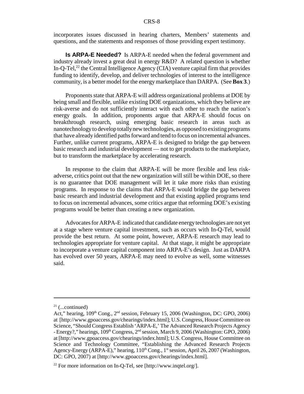incorporates issues discussed in hearing charters, Members' statements and questions, and the statements and responses of those providing expert testimony.

**Is ARPA-E Needed?** Is ARPA-E needed when the federal government and industry already invest a great deal in energy R&D? A related question is whether In-Q-Tel, $^{22}$  the Central Intelligence Agency (CIA) venture capital firm that provides funding to identify, develop, and deliver technologies of interest to the intelligence community, is a better model for the energy marketplace than DARPA. (See **Box 3**.)

Proponents state that ARPA-E will address organizational problems at DOE by being small and flexible, unlike existing DOE organizations, which they believe are risk-averse and do not sufficiently interact with each other to reach the nation's energy goals. In addition, proponents argue that ARPA-E should focus on breakthrough research, using emerging basic research in areas such as nanotechnology to develop totally new technologies, as opposed to existing programs that have already identified paths forward and tend to focus on incremental advances. Further, unlike current programs, ARPA-E is designed to bridge the gap between basic research and industrial development — not to get products to the marketplace, but to transform the marketplace by accelerating research.

In response to the claim that ARPA-E will be more flexible and less riskadverse, critics point out that the new organization will still be within DOE, so there is no guarantee that DOE management will let it take more risks than existing programs. In response to the claims that ARPA-E would bridge the gap between basic research and industrial development and that existing applied programs tend to focus on incremental advances, some critics argue that reforming DOE's existing programs would be better than creating a new organization.

Advocates for ARPA-E indicated that candidate energy technologies are not yet at a stage where venture capital investment, such as occurs with In-Q-Tel, would provide the best return. At some point, however, ARPA-E research may lead to technologies appropriate for venture capital. At that stage, it might be appropriate to incorporate a venture capital component into ARPA-E's design. Just as DARPA has evolved over 50 years, ARPA-E may need to evolve as well, some witnesses said.

 $21$  (...continued)

Act," hearing,  $109<sup>th</sup>$  Cong.,  $2<sup>nd</sup>$  session, February 15, 2006 (Washington, DC: GPO, 2006) at [http://www.gpoaccess.gov/chearings/index.html]; U.S. Congress, House Committee on Science, "Should Congress Establish 'ARPA-E,' The Advanced Research Projects Agency - Energy?," hearings,  $109<sup>th</sup> Congress$ ,  $2<sup>nd</sup> session$ , March 9, 2006 (Washington: GPO, 2006) at [http://www.gpoaccess.gov/chearings/index.html]; U.S. Congress, House Committee on Science and Technology Committee, "Establishing the Advanced Research Projects Agency-Energy (ARPA-E)," hearing,  $110^{th}$  Cong.,  $1^{st}$  session, April 26, 2007 (Washington, DC: GPO, 2007) at [http://www.gpoaccess.gov/chearings/index.html].

<sup>&</sup>lt;sup>22</sup> For more information on In-Q-Tel, see [http://www.inqtel.org/].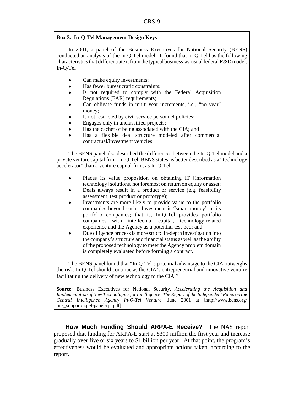#### **Box 3. In-Q-Tel Management Design Keys**

In 2001, a panel of the Business Executives for National Security (BENS) conducted an analysis of the In-Q-Tel model. It found that In-Q-Tel has the following characteristics that differentiate it from the typical business-as-usual federal R&D model. In-Q-Tel

- Can make equity investments;
- ! Has fewer bureaucratic constraints;
- Is not required to comply with the Federal Acquisition Regulations (FAR) requirements;
- ! Can obligate funds in multi-year increments, i.e., "no year" money;
- Is not restricted by civil service personnel policies;
- ! Engages only in unclassified projects;
- Has the cachet of being associated with the CIA; and
- ! Has a flexible deal structure modeled after commercial contractual/investment vehicles.

The BENS panel also described the differences between the In-Q-Tel model and a private venture capital firm. In-Q-Tel, BENS states, is better described as a "technology accelerator" than a venture capital firm, as In-Q-Tel

- Places its value proposition on obtaining IT [information] technology] solutions, not foremost on return on equity or asset;
- Deals always result in a product or service (e.g. feasibility assessment, test product or prototype);
- ! Investments are more likely to provide value to the portfolio companies beyond cash: Investment is "smart money" in its portfolio companies; that is, In-Q-Tel provides portfolio companies with intellectual capital, technology-related experience and the Agency as a potential test-bed; and
- ! Due diligence process is more strict: In-depth investigation into the company's structure and financial status as well as the ability of the proposed technology to meet the Agency problem domain is completely evaluated before forming a contract.

The BENS panel found that "In-Q-Tel's potential advantage to the CIA outweighs the risk. In-Q-Tel should continue as the CIA's entrepreneurial and innovative venture facilitating the delivery of new technology to the CIA."

**Source:** Business Executives for National Security, *Accelerating the Acquisition and Implementation of New Technologies for Intelligence: The Report of the Independent Panel on the Central Intelligence Agency In-Q-Tel Venture*, June 2001 at [http://www.bens.org/ mis\_support/nqtel-panel-rpt.pdf].

**How Much Funding Should ARPA-E Receive?** The NAS report proposed that funding for ARPA-E start at \$300 million the first year and increase gradually over five or six years to \$1 billion per year. At that point, the program's effectiveness would be evaluated and appropriate actions taken, according to the report.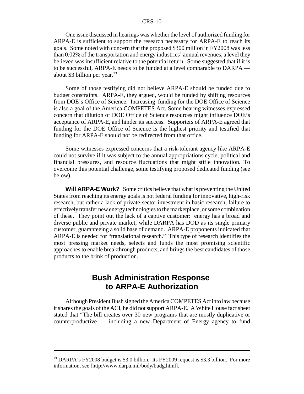#### CRS-10

One issue discussed in hearings was whether the level of authorized funding for ARPA-E is sufficient to support the research necessary for ARPA-E to reach its goals. Some noted with concern that the proposed \$300 million in FY2008 was less than 0.02% of the transportation and energy industries' annual revenues, a level they believed was insufficient relative to the potential return. Some suggested that if it is to be successful, ARPA-E needs to be funded at a level comparable to DARPA about \$3 billion per year. $^{23}$ 

Some of those testifying did not believe ARPA-E should be funded due to budget constraints. ARPA-E, they argued, would be funded by shifting resources from DOE's Office of Science. Increasing funding for the DOE Office of Science is also a goal of the America COMPETES Act. Some hearing witnesses expressed concern that dilution of DOE Office of Science resources might influence DOE's acceptance of ARPA-E, and hinder its success. Supporters of ARPA-E agreed that funding for the DOE Office of Science is the highest priority and testified that funding for ARPA-E should not be redirected from that office.

Some witnesses expressed concerns that a risk-tolerant agency like ARPA-E could not survive if it was subject to the annual appropriations cycle, political and financial pressures, and resource fluctuations that might stifle innovation. To overcome this potential challenge, some testifying proposed dedicated funding (see below).

**Will ARPA-E Work?** Some critics believe that what is preventing the United States from reaching its energy goals is not federal funding for innovative, high-risk research, but rather a lack of private-sector investment in basic research, failure to effectively transfer new energy technologies to the marketplace, or some combination of these. They point out the lack of a captive customer: energy has a broad and diverse public and private market, while DARPA has DOD as its single primary customer, guaranteeing a solid base of demand. ARPA-E proponents indicated that ARPA-E is needed for "translational research." This type of research identifies the most pressing market needs, selects and funds the most promising scientific approaches to enable breakthrough products, and brings the best candidates of those products to the brink of production.

## **Bush Administration Response to ARPA-E Authorization**

Although President Bush signed the America COMPETES Act into law because it shares the goals of the ACI, he did not support ARPA-E. A White House fact sheet stated that "The bill creates over 30 new programs that are mostly duplicative or counterproductive — including a new Department of Energy agency to fund

<sup>&</sup>lt;sup>23</sup> DARPA's FY2008 budget is \$3.0 billion. Its FY2009 request is \$3.3 billion. For more information, see [http://www.darpa.mil/body/budg.html].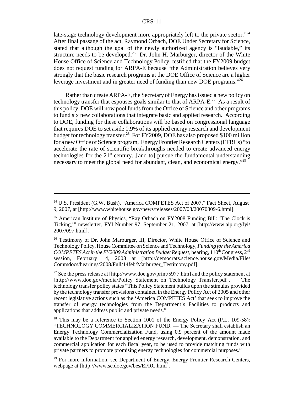#### CRS-11

late-stage technology development more appropriately left to the private sector."<sup>24</sup> After final passage of the act, Raymond Orbach, DOE Under Secretary for Science, stated that although the goal of the newly authorized agency is "laudable," its structure needs to be developed.<sup>25</sup> Dr. John H. Marburger, director of the White House Office of Science and Technology Policy, testified that the FY2009 budget does not request funding for ARPA-E because "the Administration believes very strongly that the basic research programs at the DOE Office of Science are a higher leverage investment and in greater need of funding than new DOE programs."26

Rather than create ARPA-E, the Secretary of Energy has issued a new policy on technology transfer that espouses goals similar to that of  $ARPA-E<sup>27</sup>$ . As a result of this policy, DOE will now pool funds from the Office of Science and other programs to fund six new collaborations that integrate basic and applied research. According to DOE, funding for these collaborations will be based on congressional language that requires DOE to set aside 0.9% of its applied energy research and development budget for technology transfer.28 For FY2009, DOE has also proposed \$100 million for a new Office of Science program, Energy Frontier Research Centers (EFRCs) "to accelerate the rate of scientific breakthroughs needed to create advanced energy technologies for the  $21<sup>st</sup>$  century...[and to] pursue the fundamental understanding necessary to meet the global need for abundant, clean, and economical energy."<sup>29</sup>

<sup>&</sup>lt;sup>24</sup> U.S. President (G.W. Bush), "America COMPETES Act of 2007," Fact Sheet, August 9, 2007, at [http://www.whitehouse.gov/news/releases/2007/08/20070809-6.html].

<sup>&</sup>lt;sup>25</sup> American Institute of Physics, "Ray Orbach on FY2008 Funding Bill: 'The Clock is Ticking,'" newsletter, FYI Number 97, September 21, 2007, at [http://www.aip.org/fyi/ 2007/097.html].

<sup>&</sup>lt;sup>26</sup> Testimony of Dr. John Marburger, III, Director, White House Office of Science and Technology Policy, House Committee on Science and Technology, *Funding for the America COMPETES Act in the FY2009 Administration Budget Request, hearing, 110<sup>th</sup> Congress, 2<sup>nd</sup>* session, February 14, 2008 at [http://democrats.science.house.gov/Media/File/ Commdocs/hearings/2008/Full/14feb/Marburger\_Testimony.pdf].

 $^{27}$  See the press release at [http://www.doe.gov/print/5977.htm] and the policy statement at [http://www.doe.gov/media/Policy\_Statement\_on\_Technology\_Transfer.pdf]. The technology transfer policy states "This Policy Statement builds upon the stimulus provided by the technology transfer provisions contained in the Energy Policy Act of 2005 and other recent legislative actions such as the 'America COMPETES Act' that seek to improve the transfer of energy technologies from the Department's Facilities to products and applications that address public and private needs."

<sup>&</sup>lt;sup>28</sup> This may be a reference to Section 1001 of the Energy Policy Act (P.L. 109-58): "TECHNOLOGY COMMERCIALIZATION FUND. — The Secretary shall establish an Energy Technology Commercialization Fund, using 0.9 percent of the amount made available to the Department for applied energy research, development, demonstration, and commercial application for each fiscal year, to be used to provide matching funds with private partners to promote promising energy technologies for commercial purposes."

<sup>&</sup>lt;sup>29</sup> For more information, see Department of Energy, Energy Frontier Research Centers, webpage at [http://www.sc.doe.gov/bes/EFRC.html].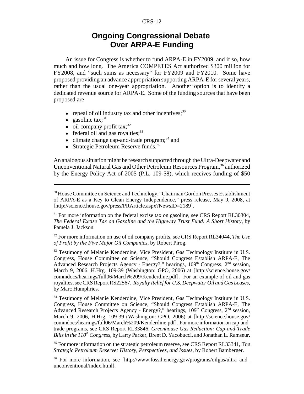#### CRS-12

## **Ongoing Congressional Debate Over ARPA-E Funding**

An issue for Congress is whether to fund ARPA-E in FY2009, and if so, how much and how long. The America COMPETES Act authorized \$300 million for FY2008, and "such sums as necessary" for FY2009 and FY2010. Some have proposed providing an advance appropriation supporting ARPA-E for several years, rather than the usual one-year appropriation. Another option is to identify a dedicated revenue source for ARPA-E. Some of the funding sources that have been proposed are

- $\bullet$  repeal of oil industry tax and other incentives;  $30$
- gasoline  $\text{tax:}^{31}$
- $\bullet$  oil company profit tax;<sup>32</sup>
- $\bullet$  federal oil and gas royalties;<sup>33</sup>
- $\bullet$  climate change cap-and-trade program;<sup>34</sup> and
- Strategic Petroleum Reserve funds. $35$

An analogous situation might be research supported through the Ultra-Deepwater and Unconventional Natural Gas and Other Petroleum Resources Program,<sup>36</sup> authorized by the Energy Policy Act of 2005 (P.L. 109-58), which receives funding of \$50

<sup>&</sup>lt;sup>30</sup> House Committee on Science and Technology, "Chairman Gordon Presses Establishment of ARPA-E as a Key to Clean Energy Independence," press release, May 9, 2008, at [http://science.house.gov/press/PRArticle.aspx?NewsID=2189].

<sup>&</sup>lt;sup>31</sup> For more information on the federal excise tax on gasoline, see CRS Report RL30304, *The Federal Excise Tax on Gasoline and the Highway Trust Fund: A Short History*, by Pamela J. Jackson.

<sup>32</sup> For more information on use of oil company profits, see CRS Report RL34044, *The Use of Profit by the Five Major Oil Companies*, by Robert Pirog.

<sup>&</sup>lt;sup>33</sup> Testimony of Melanie Kenderdine, Vice President, Gas Technology Institute in U.S. Congress, House Committee on Science, "Should Congress Establish ARPA-E, The Advanced Research Projects Agency - Energy?," hearings,  $109<sup>th</sup>$  Congress,  $2<sup>nd</sup>$  session, March 9, 2006, H.Hrg. 109-39 (Washington: GPO, 2006) at [http://science.house.gov/ commdocs/hearings/full06/March%209/Kenderdine.pdf]. For an example of oil and gas royalties, see CRS Report RS22567, *Royalty Relief for U.S. Deepwater Oil and Gas Leases*, by Marc Humphries.

<sup>34</sup> Testimony of Melanie Kenderdine, Vice President, Gas Technology Institute in U.S. Congress, House Committee on Science, "Should Congress Establish ARPA-E, The Advanced Research Projects Agency - Energy?," hearings,  $109<sup>th</sup>$  Congress,  $2<sup>nd</sup>$  session, March 9, 2006, H.Hrg. 109-39 (Washington: GPO, 2006) at [http://science.house.gov/ commdocs/hearings/full06/March%209/Kenderdine.pdf]. For more information on cap-andtrade programs, see CRS Report RL33846, *Greenhouse Gas Reduction: Cap-and-Trade Bills in the 110<sup>th</sup> Congress*, by Larry Parker, Brent D. Yacobucci, and Jonathan L. Ramseur.

<sup>35</sup> For more information on the strategic petroleum reserve, see CRS Report RL33341, T*he Strategic Petroleum Reserve: History, Perspectives, and Issues*, by Robert Bamberger.

<sup>&</sup>lt;sup>36</sup> For more information, see [http://www.fossil.energy.gov/programs/oilgas/ultra and unconventional/index.html].